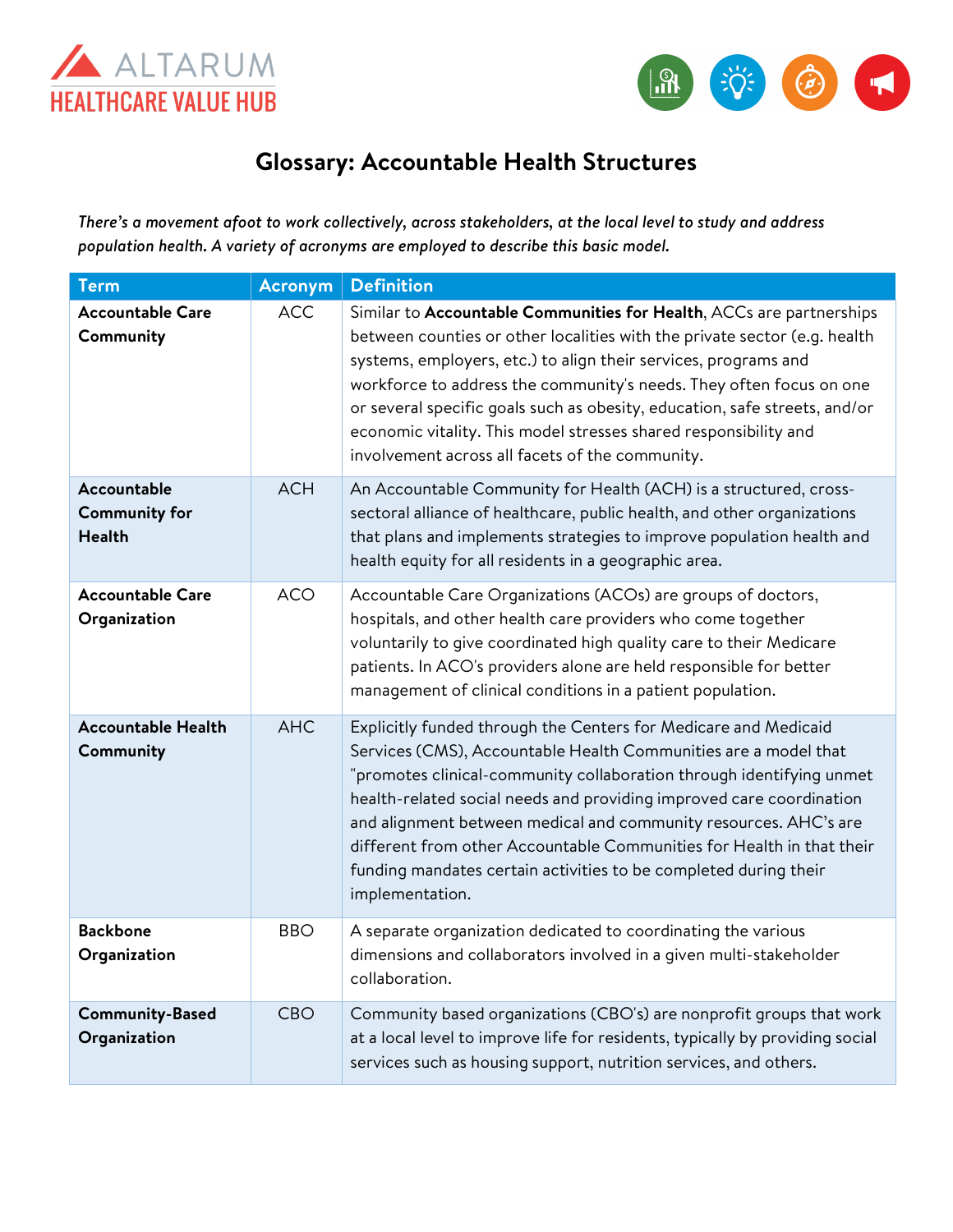



## **Glossary: Accountable Health Structures**

*There's a movement afoot to work collectively, across stakeholders, at the local level to study and address population health. A variety of acronyms are employed to describe this basic model.*

| <b>Term</b>                                          | <b>Acronym</b> | <b>Definition</b>                                                                                                                                                                                                                                                                                                                                                                                                                                                                                                      |
|------------------------------------------------------|----------------|------------------------------------------------------------------------------------------------------------------------------------------------------------------------------------------------------------------------------------------------------------------------------------------------------------------------------------------------------------------------------------------------------------------------------------------------------------------------------------------------------------------------|
| <b>Accountable Care</b><br>Community                 | <b>ACC</b>     | Similar to Accountable Communities for Health, ACCs are partnerships<br>between counties or other localities with the private sector (e.g. health<br>systems, employers, etc.) to align their services, programs and<br>workforce to address the community's needs. They often focus on one<br>or several specific goals such as obesity, education, safe streets, and/or<br>economic vitality. This model stresses shared responsibility and<br>involvement across all facets of the community.                       |
| Accountable<br><b>Community for</b><br><b>Health</b> | <b>ACH</b>     | An Accountable Community for Health (ACH) is a structured, cross-<br>sectoral alliance of healthcare, public health, and other organizations<br>that plans and implements strategies to improve population health and<br>health equity for all residents in a geographic area.                                                                                                                                                                                                                                         |
| <b>Accountable Care</b><br>Organization              | <b>ACO</b>     | Accountable Care Organizations (ACOs) are groups of doctors,<br>hospitals, and other health care providers who come together<br>voluntarily to give coordinated high quality care to their Medicare<br>patients. In ACO's providers alone are held responsible for better<br>management of clinical conditions in a patient population.                                                                                                                                                                                |
| <b>Accountable Health</b><br>Community               | <b>AHC</b>     | Explicitly funded through the Centers for Medicare and Medicaid<br>Services (CMS), Accountable Health Communities are a model that<br>"promotes clinical-community collaboration through identifying unmet<br>health-related social needs and providing improved care coordination<br>and alignment between medical and community resources. AHC's are<br>different from other Accountable Communities for Health in that their<br>funding mandates certain activities to be completed during their<br>implementation. |
| <b>Backbone</b><br>Organization                      | <b>BBO</b>     | A separate organization dedicated to coordinating the various<br>dimensions and collaborators involved in a given multi-stakeholder<br>collaboration.                                                                                                                                                                                                                                                                                                                                                                  |
| <b>Community-Based</b><br>Organization               | <b>CBO</b>     | Community based organizations (CBO's) are nonprofit groups that work<br>at a local level to improve life for residents, typically by providing social<br>services such as housing support, nutrition services, and others.                                                                                                                                                                                                                                                                                             |